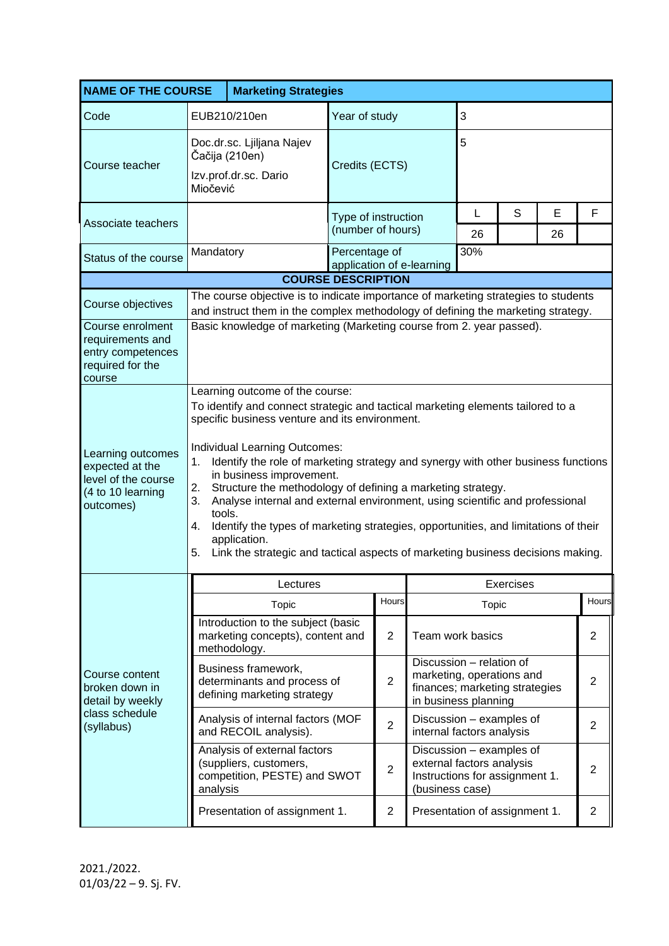| <b>NAME OF THE COURSE</b>                                                                     |                                                                                                                                                                                                                                                                                                                                                                                                                                                                                                                                                                                                                                                                                                         | <b>Marketing Strategies</b>                                                            |                                            |                |                                                                                                                 |                                                                                         |         |                |                |
|-----------------------------------------------------------------------------------------------|---------------------------------------------------------------------------------------------------------------------------------------------------------------------------------------------------------------------------------------------------------------------------------------------------------------------------------------------------------------------------------------------------------------------------------------------------------------------------------------------------------------------------------------------------------------------------------------------------------------------------------------------------------------------------------------------------------|----------------------------------------------------------------------------------------|--------------------------------------------|----------------|-----------------------------------------------------------------------------------------------------------------|-----------------------------------------------------------------------------------------|---------|----------------|----------------|
| Code                                                                                          | EUB210/210en                                                                                                                                                                                                                                                                                                                                                                                                                                                                                                                                                                                                                                                                                            |                                                                                        | Year of study                              |                |                                                                                                                 | 3                                                                                       |         |                |                |
| Course teacher                                                                                | Doc.dr.sc. Ljiljana Najev<br>Čačija (210en)<br>Izv.prof.dr.sc. Dario<br>Miočević                                                                                                                                                                                                                                                                                                                                                                                                                                                                                                                                                                                                                        |                                                                                        | Credits (ECTS)                             |                |                                                                                                                 | 5                                                                                       |         |                |                |
| Associate teachers                                                                            |                                                                                                                                                                                                                                                                                                                                                                                                                                                                                                                                                                                                                                                                                                         |                                                                                        | Type of instruction<br>(number of hours)   |                | L<br>26                                                                                                         | S                                                                                       | Е<br>26 | F              |                |
| Status of the course                                                                          | Mandatory                                                                                                                                                                                                                                                                                                                                                                                                                                                                                                                                                                                                                                                                                               |                                                                                        | Percentage of<br>application of e-learning |                |                                                                                                                 | 30%                                                                                     |         |                |                |
|                                                                                               | <b>COURSE DESCRIPTION</b>                                                                                                                                                                                                                                                                                                                                                                                                                                                                                                                                                                                                                                                                               |                                                                                        |                                            |                |                                                                                                                 |                                                                                         |         |                |                |
| Course objectives                                                                             | The course objective is to indicate importance of marketing strategies to students<br>and instruct them in the complex methodology of defining the marketing strategy.                                                                                                                                                                                                                                                                                                                                                                                                                                                                                                                                  |                                                                                        |                                            |                |                                                                                                                 |                                                                                         |         |                |                |
| Course enrolment<br>requirements and<br>entry competences<br>required for the<br>course       | Basic knowledge of marketing (Marketing course from 2. year passed).                                                                                                                                                                                                                                                                                                                                                                                                                                                                                                                                                                                                                                    |                                                                                        |                                            |                |                                                                                                                 |                                                                                         |         |                |                |
| Learning outcomes<br>expected at the<br>level of the course<br>(4 to 10 learning<br>outcomes) | Learning outcome of the course:<br>To identify and connect strategic and tactical marketing elements tailored to a<br>specific business venture and its environment.<br>Individual Learning Outcomes:<br>Identify the role of marketing strategy and synergy with other business functions<br>1.<br>in business improvement.<br>2.<br>Structure the methodology of defining a marketing strategy.<br>Analyse internal and external environment, using scientific and professional<br>3.<br>tools.<br>Identify the types of marketing strategies, opportunities, and limitations of their<br>4.<br>application.<br>5.<br>Link the strategic and tactical aspects of marketing business decisions making. |                                                                                        |                                            |                |                                                                                                                 |                                                                                         |         |                |                |
| Course content<br>broken down in<br>detail by weekly<br>class schedule<br>(syllabus)          | Lectures                                                                                                                                                                                                                                                                                                                                                                                                                                                                                                                                                                                                                                                                                                |                                                                                        |                                            |                | Exercises                                                                                                       |                                                                                         |         |                |                |
|                                                                                               |                                                                                                                                                                                                                                                                                                                                                                                                                                                                                                                                                                                                                                                                                                         | Topic                                                                                  |                                            | Hours          |                                                                                                                 | Topic                                                                                   |         |                | Hours          |
|                                                                                               |                                                                                                                                                                                                                                                                                                                                                                                                                                                                                                                                                                                                                                                                                                         | Introduction to the subject (basic<br>marketing concepts), content and<br>methodology. |                                            | $\overline{2}$ | Team work basics                                                                                                |                                                                                         |         |                | $\overline{2}$ |
|                                                                                               |                                                                                                                                                                                                                                                                                                                                                                                                                                                                                                                                                                                                                                                                                                         | Business framework,<br>determinants and process of<br>defining marketing strategy      |                                            | $\overline{2}$ | Discussion - relation of<br>marketing, operations and<br>finances; marketing strategies<br>in business planning |                                                                                         |         |                | $\overline{2}$ |
|                                                                                               |                                                                                                                                                                                                                                                                                                                                                                                                                                                                                                                                                                                                                                                                                                         | Analysis of internal factors (MOF<br>and RECOIL analysis).                             |                                            | $\overline{2}$ | Discussion - examples of<br>internal factors analysis                                                           |                                                                                         |         |                | $\overline{2}$ |
|                                                                                               | Analysis of external factors<br>(suppliers, customers,<br>competition, PESTE) and SWOT<br>analysis                                                                                                                                                                                                                                                                                                                                                                                                                                                                                                                                                                                                      |                                                                                        |                                            | $\overline{2}$ | (business case)                                                                                                 | Discussion - examples of<br>external factors analysis<br>Instructions for assignment 1. |         | $\overline{2}$ |                |
|                                                                                               |                                                                                                                                                                                                                                                                                                                                                                                                                                                                                                                                                                                                                                                                                                         | Presentation of assignment 1.                                                          |                                            | $\overline{2}$ | Presentation of assignment 1.                                                                                   |                                                                                         |         |                | $\overline{2}$ |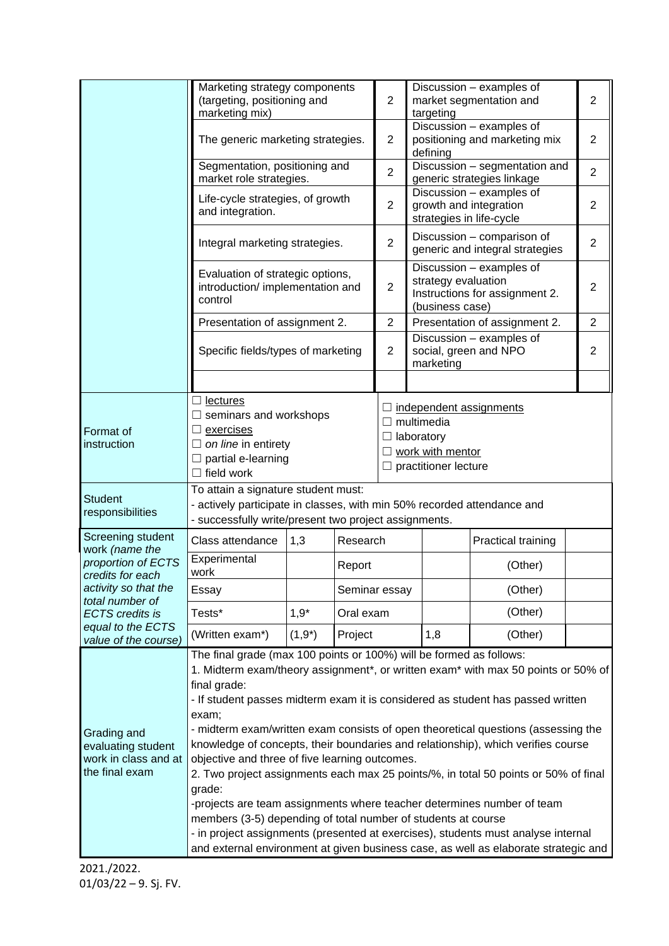|                                                                                                                                                          | Marketing strategy components<br>(targeting, positioning and<br>marketing mix)                                                                                                                                                                                                                                                                                                                                                                                                                                                                                                                                                                                                                                                                                                                                                                                                                                          |                     |          | $\overline{2}$                                                                                         | Discussion - examples of<br>market segmentation and<br>targeting                                     | $\overline{2}$                                                |                |  |
|----------------------------------------------------------------------------------------------------------------------------------------------------------|-------------------------------------------------------------------------------------------------------------------------------------------------------------------------------------------------------------------------------------------------------------------------------------------------------------------------------------------------------------------------------------------------------------------------------------------------------------------------------------------------------------------------------------------------------------------------------------------------------------------------------------------------------------------------------------------------------------------------------------------------------------------------------------------------------------------------------------------------------------------------------------------------------------------------|---------------------|----------|--------------------------------------------------------------------------------------------------------|------------------------------------------------------------------------------------------------------|---------------------------------------------------------------|----------------|--|
|                                                                                                                                                          | The generic marketing strategies.                                                                                                                                                                                                                                                                                                                                                                                                                                                                                                                                                                                                                                                                                                                                                                                                                                                                                       |                     |          | $\overline{2}$                                                                                         | Discussion - examples of<br>positioning and marketing mix<br>defining                                |                                                               | $\overline{2}$ |  |
|                                                                                                                                                          | Segmentation, positioning and<br>market role strategies.                                                                                                                                                                                                                                                                                                                                                                                                                                                                                                                                                                                                                                                                                                                                                                                                                                                                |                     |          |                                                                                                        | Discussion - segmentation and<br>generic strategies linkage                                          | $\overline{2}$                                                |                |  |
|                                                                                                                                                          | Life-cycle strategies, of growth<br>and integration.                                                                                                                                                                                                                                                                                                                                                                                                                                                                                                                                                                                                                                                                                                                                                                                                                                                                    |                     |          |                                                                                                        | Discussion - examples of<br>growth and integration<br>strategies in life-cycle                       | 2                                                             |                |  |
|                                                                                                                                                          | Integral marketing strategies.                                                                                                                                                                                                                                                                                                                                                                                                                                                                                                                                                                                                                                                                                                                                                                                                                                                                                          |                     |          |                                                                                                        |                                                                                                      | Discussion - comparison of<br>generic and integral strategies | $\overline{2}$ |  |
|                                                                                                                                                          | Evaluation of strategic options,<br>introduction/ implementation and<br>control                                                                                                                                                                                                                                                                                                                                                                                                                                                                                                                                                                                                                                                                                                                                                                                                                                         |                     |          |                                                                                                        | Discussion - examples of<br>strategy evaluation<br>Instructions for assignment 2.<br>(business case) | $\overline{2}$                                                |                |  |
|                                                                                                                                                          | Presentation of assignment 2.                                                                                                                                                                                                                                                                                                                                                                                                                                                                                                                                                                                                                                                                                                                                                                                                                                                                                           |                     |          |                                                                                                        |                                                                                                      | Presentation of assignment 2.                                 |                |  |
|                                                                                                                                                          | Specific fields/types of marketing                                                                                                                                                                                                                                                                                                                                                                                                                                                                                                                                                                                                                                                                                                                                                                                                                                                                                      |                     |          | $\overline{2}$                                                                                         | marketing                                                                                            | Discussion - examples of<br>social, green and NPO             |                |  |
|                                                                                                                                                          |                                                                                                                                                                                                                                                                                                                                                                                                                                                                                                                                                                                                                                                                                                                                                                                                                                                                                                                         |                     |          |                                                                                                        |                                                                                                      |                                                               |                |  |
| <b>Format</b> of<br>instruction                                                                                                                          | $\Box$ lectures<br>$\Box$ seminars and workshops<br>$\Box$ exercises<br>$\Box$ on line in entirety<br>$\Box$ partial e-learning<br>$\Box$ field work                                                                                                                                                                                                                                                                                                                                                                                                                                                                                                                                                                                                                                                                                                                                                                    |                     |          | independent assignments<br>multimedia<br>laboratory<br>work with mentor<br>$\Box$ practitioner lecture |                                                                                                      |                                                               |                |  |
| <b>Student</b><br>responsibilities                                                                                                                       | To attain a signature student must:<br>- actively participate in classes, with min 50% recorded attendance and<br>- successfully write/present two project assignments.                                                                                                                                                                                                                                                                                                                                                                                                                                                                                                                                                                                                                                                                                                                                                 |                     |          |                                                                                                        |                                                                                                      |                                                               |                |  |
| Screening student<br>work (name the                                                                                                                      | 1,3<br>Class attendance                                                                                                                                                                                                                                                                                                                                                                                                                                                                                                                                                                                                                                                                                                                                                                                                                                                                                                 |                     | Research |                                                                                                        |                                                                                                      | Practical training                                            |                |  |
| proportion of ECTS<br>credits for each<br>activity so that the<br>total number of<br><b>ECTS</b> credits is<br>equal to the ECTS<br>value of the course) | Experimental<br>work                                                                                                                                                                                                                                                                                                                                                                                                                                                                                                                                                                                                                                                                                                                                                                                                                                                                                                    |                     | Report   |                                                                                                        |                                                                                                      | (Other)                                                       |                |  |
|                                                                                                                                                          | Essay                                                                                                                                                                                                                                                                                                                                                                                                                                                                                                                                                                                                                                                                                                                                                                                                                                                                                                                   | Seminar essay       |          |                                                                                                        |                                                                                                      | (Other)                                                       |                |  |
|                                                                                                                                                          | Tests*                                                                                                                                                                                                                                                                                                                                                                                                                                                                                                                                                                                                                                                                                                                                                                                                                                                                                                                  | $1,9*$<br>Oral exam |          |                                                                                                        |                                                                                                      | (Other)                                                       |                |  |
|                                                                                                                                                          | (Written exam*)                                                                                                                                                                                                                                                                                                                                                                                                                                                                                                                                                                                                                                                                                                                                                                                                                                                                                                         | $(1,9^*)$           | Project  |                                                                                                        | 1,8                                                                                                  | (Other)                                                       |                |  |
| Grading and<br>evaluating student<br>work in class and at<br>the final exam                                                                              | The final grade (max 100 points or 100%) will be formed as follows:<br>1. Midterm exam/theory assignment*, or written exam* with max 50 points or 50% of<br>final grade:<br>- If student passes midterm exam it is considered as student has passed written<br>exam;<br>- midterm exam/written exam consists of open theoretical questions (assessing the<br>knowledge of concepts, their boundaries and relationship), which verifies course<br>objective and three of five learning outcomes.<br>2. Two project assignments each max 25 points/%, in total 50 points or 50% of final<br>grade:<br>-projects are team assignments where teacher determines number of team<br>members (3-5) depending of total number of students at course<br>- in project assignments (presented at exercises), students must analyse internal<br>and external environment at given business case, as well as elaborate strategic and |                     |          |                                                                                                        |                                                                                                      |                                                               |                |  |